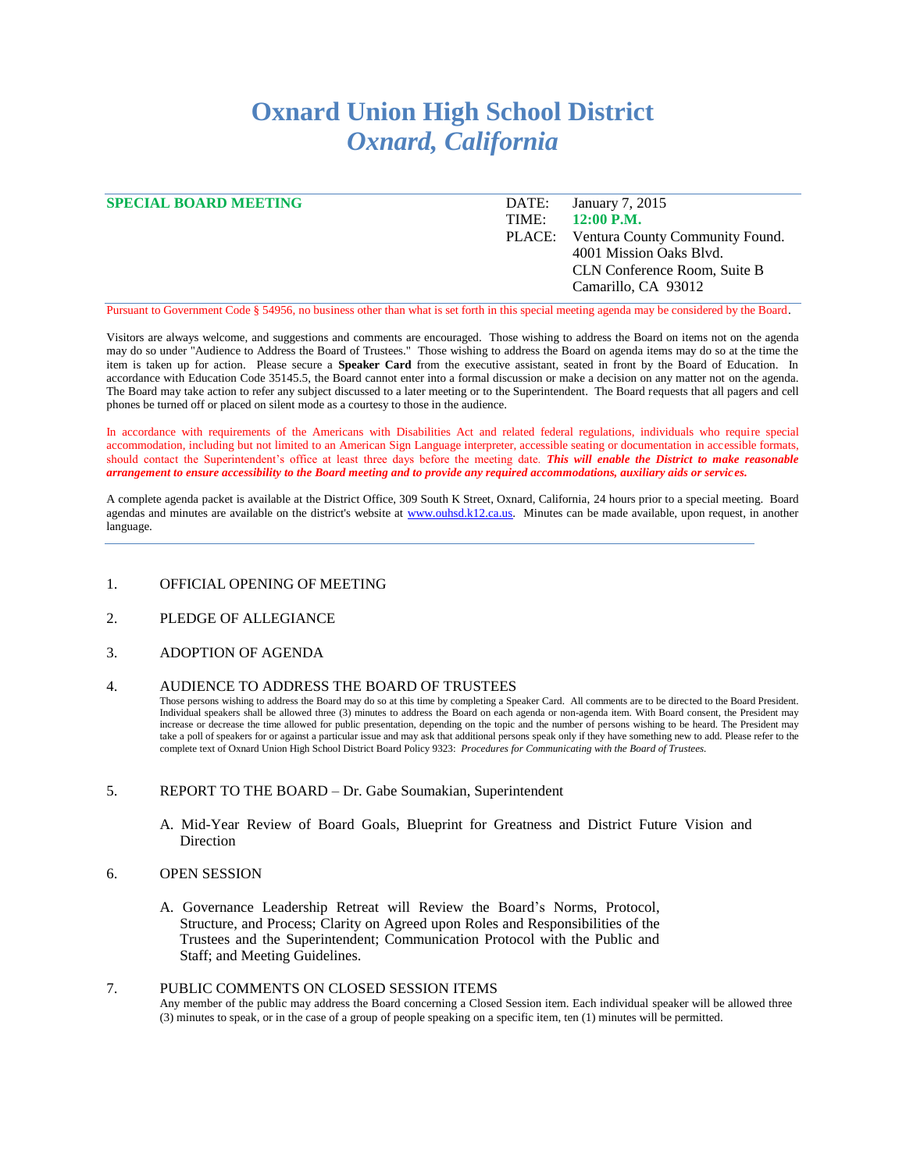# **Oxnard Union High School District** *Oxnard, California*

## **SPECIAL BOARD MEETING** DATE: January 7, 2015

TIME: **12:00 P.M.** PLACE: Ventura County Community Found. 4001 Mission Oaks Blvd. CLN Conference Room, Suite B Camarillo, CA 93012

Pursuant to Government Code § 54956, no business other than what is set forth in this special meeting agenda may be considered by the Board.

Visitors are always welcome, and suggestions and comments are encouraged. Those wishing to address the Board on items not on the agenda may do so under "Audience to Address the Board of Trustees." Those wishing to address the Board on agenda items may do so at the time the item is taken up for action. Please secure a **Speaker Card** from the executive assistant, seated in front by the Board of Education. In accordance with Education Code 35145.5, the Board cannot enter into a formal discussion or make a decision on any matter not on the agenda. The Board may take action to refer any subject discussed to a later meeting or to the Superintendent. The Board requests that all pagers and cell phones be turned off or placed on silent mode as a courtesy to those in the audience.

In accordance with requirements of the Americans with Disabilities Act and related federal regulations, individuals who require special accommodation, including but not limited to an American Sign Language interpreter, accessible seating or documentation in accessible formats, should contact the Superintendent's office at least three days before the meeting date. *This will enable the District to make reasonable arrangement to ensure accessibility to the Board meeting and to provide any required accommodations, auxiliary aids or services.*

A complete agenda packet is available at the District Office, 309 South K Street, Oxnard, California, 24 hours prior to a special meeting. Board agendas and minutes are available on the district's website at [www.ouhsd.k12.ca.us.](http://www.ouhsd.k12.ca.us/) Minutes can be made available, upon request, in another language.

- 1. OFFICIAL OPENING OF MEETING
- 2. PLEDGE OF ALLEGIANCE
- 3. ADOPTION OF AGENDA

#### 4. AUDIENCE TO ADDRESS THE BOARD OF TRUSTEES

Those persons wishing to address the Board may do so at this time by completing a Speaker Card. All comments are to be directed to the Board President. Individual speakers shall be allowed three (3) minutes to address the Board on each agenda or non-agenda item. With Board consent, the President may increase or decrease the time allowed for public presentation, depending on the topic and the number of persons wishing to be heard. The President may take a poll of speakers for or against a particular issue and may ask that additional persons speak only if they have something new to add. Please refer to the complete text of Oxnard Union High School District Board Policy 9323: *Procedures for Communicating with the Board of Trustees.*

- 5. REPORT TO THE BOARD Dr. Gabe Soumakian, Superintendent
	- A. Mid-Year Review of Board Goals, Blueprint for Greatness and District Future Vision and Direction
- 6. OPEN SESSION
	- A. Governance Leadership Retreat will Review the Board's Norms, Protocol, Structure, and Process; Clarity on Agreed upon Roles and Responsibilities of the Trustees and the Superintendent; Communication Protocol with the Public and Staff; and Meeting Guidelines.

### 7. PUBLIC COMMENTS ON CLOSED SESSION ITEMS Any member of the public may address the Board concerning a Closed Session item. Each individual speaker will be allowed three (3) minutes to speak, or in the case of a group of people speaking on a specific item, ten (1) minutes will be permitted.